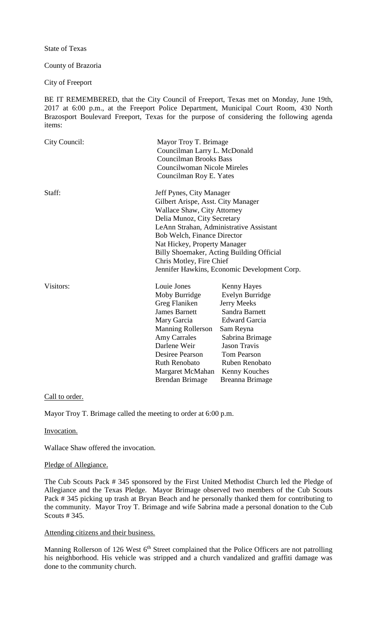State of Texas

County of Brazoria

City of Freeport

BE IT REMEMBERED, that the City Council of Freeport, Texas met on Monday, June 19th, 2017 at 6:00 p.m., at the Freeport Police Department, Municipal Court Room, 430 North Brazosport Boulevard Freeport, Texas for the purpose of considering the following agenda items:

| City Council: |                                                                                                                                                                                                                                                                                                                                                                        | Mayor Troy T. Brimage<br>Councilman Larry L. McDonald<br><b>Councilman Brooks Bass</b><br>Councilwoman Nicole Mireles<br>Councilman Roy E. Yates                                                                                         |  |
|---------------|------------------------------------------------------------------------------------------------------------------------------------------------------------------------------------------------------------------------------------------------------------------------------------------------------------------------------------------------------------------------|------------------------------------------------------------------------------------------------------------------------------------------------------------------------------------------------------------------------------------------|--|
| Staff:        | Jeff Pynes, City Manager<br>Gilbert Arispe, Asst. City Manager<br><b>Wallace Shaw, City Attorney</b><br>Delia Munoz, City Secretary<br>LeAnn Strahan, Administrative Assistant<br>Bob Welch, Finance Director<br>Nat Hickey, Property Manager<br>Billy Shoemaker, Acting Building Official<br>Chris Motley, Fire Chief<br>Jennifer Hawkins, Economic Development Corp. |                                                                                                                                                                                                                                          |  |
| Visitors:     | Louie Jones<br>Moby Burridge<br>Greg Flaniken<br><b>James Barnett</b><br>Mary Garcia<br><b>Manning Rollerson</b><br><b>Amy Carrales</b><br>Darlene Weir<br>Desiree Pearson<br><b>Ruth Renobato</b><br>Margaret McMahan<br><b>Brendan Brimage</b>                                                                                                                       | <b>Kenny Hayes</b><br>Evelyn Burridge<br><b>Jerry Meeks</b><br>Sandra Barnett<br><b>Edward Garcia</b><br>Sam Reyna<br>Sabrina Brimage<br><b>Jason Travis</b><br><b>Tom Pearson</b><br>Ruben Renobato<br>Kenny Kouches<br>Breanna Brimage |  |

## Call to order.

Mayor Troy T. Brimage called the meeting to order at 6:00 p.m.

Invocation.

Wallace Shaw offered the invocation.

#### Pledge of Allegiance.

The Cub Scouts Pack # 345 sponsored by the First United Methodist Church led the Pledge of Allegiance and the Texas Pledge. Mayor Brimage observed two members of the Cub Scouts Pack # 345 picking up trash at Bryan Beach and he personally thanked them for contributing to the community. Mayor Troy T. Brimage and wife Sabrina made a personal donation to the Cub Scouts # 345.

# Attending citizens and their business.

Manning Rollerson of 126 West 6<sup>th</sup> Street complained that the Police Officers are not patrolling his neighborhood. His vehicle was stripped and a church vandalized and graffiti damage was done to the community church.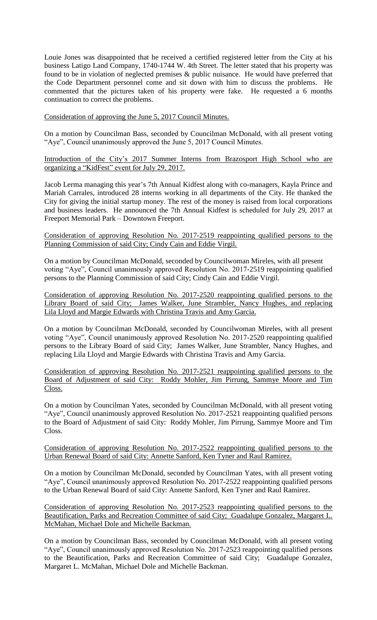Louie Jones was disappointed that he received a certified registered letter from the City at his business Latigo Land Company, 1740-1744 W. 4th Street. The letter stated that his property was found to be in violation of neglected premises & public nuisance. He would have preferred that the Code Department personnel come and sit down with him to discuss the problems. He commented that the pictures taken of his property were fake. He requested a 6 months continuation to correct the problems.

## Consideration of approving the June 5, 2017 Council Minutes.

On a motion by Councilman Bass, seconded by Councilman McDonald, with all present voting "Aye", Council unanimously approved the June 5, 2017 Council Minutes.

Introduction of the City's 2017 Summer Interns from Brazosport High School who are organizing a "KidFest" event for July 29, 2017.

Jacob Lerma managing this year's 7th Annual Kidfest along with co-managers, Kayla Prince and Mariah Carrales, introduced 28 interns working in all departments of the City. He thanked the City for giving the initial startup money. The rest of the money is raised from local corporations and business leaders. He announced the 7th Annual Kidfest is scheduled for July 29, 2017 at Freeport Memorial Park – Downtown Freeport.

### Consideration of approving Resolution No. 2017-2519 reappointing qualified persons to the Planning Commission of said City; Cindy Cain and Eddie Virgil.

On a motion by Councilman McDonald, seconded by Councilwoman Mireles, with all present voting "Aye", Council unanimously approved Resolution No. 2017-2519 reappointing qualified persons to the Planning Commission of said City; Cindy Cain and Eddie Virgil.

Consideration of approving Resolution No. 2017-2520 reappointing qualified persons to the Library Board of said City; James Walker, June Strambler, Nancy Hughes, and replacing Lila Lloyd and Margie Edwards with Christina Travis and Amy Garcia.

On a motion by Councilman McDonald, seconded by Councilwoman Mireles, with all present voting "Aye", Council unanimously approved Resolution No. 2017-2520 reappointing qualified persons to the Library Board of said City; James Walker, June Strambler, Nancy Hughes, and replacing Lila Lloyd and Margie Edwards with Christina Travis and Amy Garcia.

Consideration of approving Resolution No. 2017-2521 reappointing qualified persons to the Board of Adjustment of said City: Roddy Mohler, Jim Pirrung, Sammye Moore and Tim Closs.

On a motion by Councilman Yates, seconded by Councilman McDonald, with all present voting "Aye", Council unanimously approved Resolution No. 2017-2521 reappointing qualified persons to the Board of Adjustment of said City: Roddy Mohler, Jim Pirrung, Sammye Moore and Tim Closs.

## Consideration of approving Resolution No. 2017-2522 reappointing qualified persons to the Urban Renewal Board of said City: Annette Sanford, Ken Tyner and Raul Ramirez.

On a motion by Councilman McDonald, seconded by Councilman Yates, with all present voting "Aye", Council unanimously approved Resolution No. 2017-2522 reappointing qualified persons to the Urban Renewal Board of said City: Annette Sanford, Ken Tyner and Raul Ramirez.

Consideration of approving Resolution No. 2017-2523 reappointing qualified persons to the Beautification, Parks and Recreation Committee of said City; Guadalupe Gonzalez, Margaret L. McMahan, Michael Dole and Michelle Backman.

On a motion by Councilman Bass, seconded by Councilman McDonald, with all present voting "Aye", Council unanimously approved Resolution No. 2017-2523 reappointing qualified persons to the Beautification, Parks and Recreation Committee of said City; Guadalupe Gonzalez, Margaret L. McMahan, Michael Dole and Michelle Backman.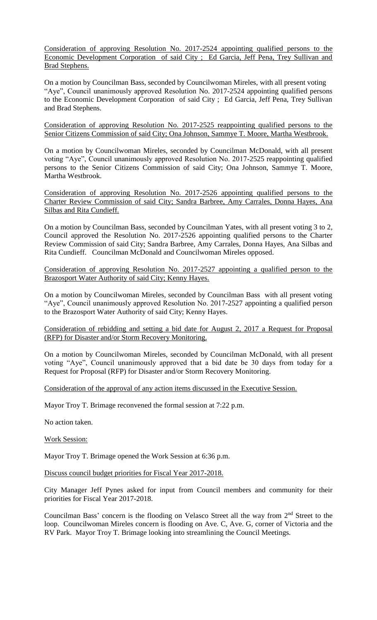Consideration of approving Resolution No. 2017-2524 appointing qualified persons to the Economic Development Corporation of said City ; Ed Garcia, Jeff Pena, Trey Sullivan and Brad Stephens.

On a motion by Councilman Bass, seconded by Councilwoman Mireles, with all present voting "Aye", Council unanimously approved Resolution No. 2017-2524 appointing qualified persons to the Economic Development Corporation of said City ; Ed Garcia, Jeff Pena, Trey Sullivan and Brad Stephens.

Consideration of approving Resolution No. 2017-2525 reappointing qualified persons to the Senior Citizens Commission of said City; Ona Johnson, Sammye T. Moore, Martha Westbrook.

On a motion by Councilwoman Mireles, seconded by Councilman McDonald, with all present voting "Aye", Council unanimously approved Resolution No. 2017-2525 reappointing qualified persons to the Senior Citizens Commission of said City; Ona Johnson, Sammye T. Moore, Martha Westbrook.

Consideration of approving Resolution No. 2017-2526 appointing qualified persons to the Charter Review Commission of said City; Sandra Barbree, Amy Carrales, Donna Hayes, Ana Silbas and Rita Cundieff.

On a motion by Councilman Bass, seconded by Councilman Yates, with all present voting 3 to 2, Council approved the Resolution No. 2017-2526 appointing qualified persons to the Charter Review Commission of said City; Sandra Barbree, Amy Carrales, Donna Hayes, Ana Silbas and Rita Cundieff. Councilman McDonald and Councilwoman Mireles opposed.

Consideration of approving Resolution No. 2017-2527 appointing a qualified person to the Brazosport Water Authority of said City; Kenny Hayes.

On a motion by Councilwoman Mireles, seconded by Councilman Bass with all present voting "Aye", Council unanimously approved Resolution No. 2017-2527 appointing a qualified person to the Brazosport Water Authority of said City; Kenny Hayes.

Consideration of rebidding and setting a bid date for August 2, 2017 a Request for Proposal (RFP) for Disaster and/or Storm Recovery Monitoring.

On a motion by Councilwoman Mireles, seconded by Councilman McDonald, with all present voting "Aye", Council unanimously approved that a bid date be 30 days from today for a Request for Proposal (RFP) for Disaster and/or Storm Recovery Monitoring.

Consideration of the approval of any action items discussed in the Executive Session.

Mayor Troy T. Brimage reconvened the formal session at 7:22 p.m.

No action taken.

Work Session:

Mayor Troy T. Brimage opened the Work Session at 6:36 p.m.

Discuss council budget priorities for Fiscal Year 2017-2018.

City Manager Jeff Pynes asked for input from Council members and community for their priorities for Fiscal Year 2017-2018.

Councilman Bass' concern is the flooding on Velasco Street all the way from  $2<sup>nd</sup>$  Street to the loop. Councilwoman Mireles concern is flooding on Ave. C, Ave. G, corner of Victoria and the RV Park. Mayor Troy T. Brimage looking into streamlining the Council Meetings.